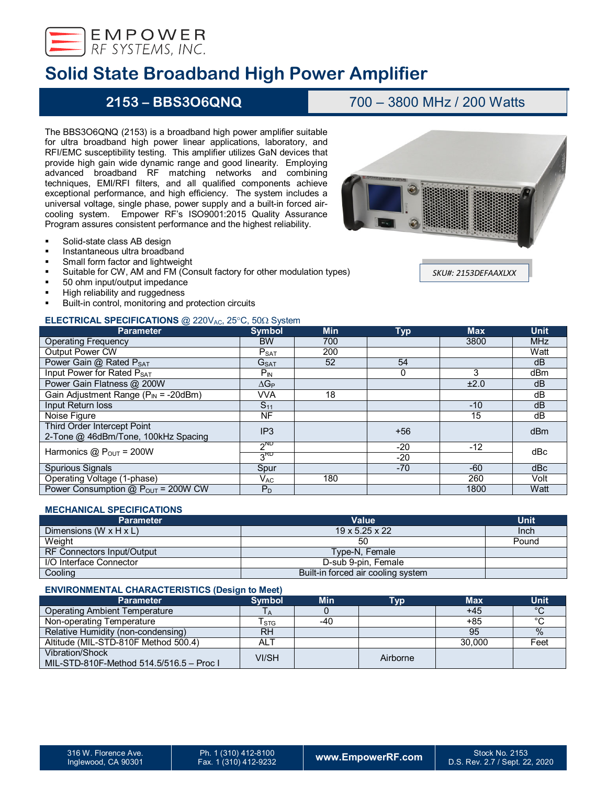

# **Solid State Broadband High Power Amplifier**

## **2153 – BBS3O6QNQ** 700 – 3800 MHz / 200 Watts

The BBS3O6QNQ (2153) is a broadband high power amplifier suitable for ultra broadband high power linear applications, laboratory, and RFI/EMC susceptibility testing. This amplifier utilizes GaN devices that provide high gain wide dynamic range and good linearity. Employing advanced broadband RF matching networks and combining techniques, EMI/RFI filters, and all qualified components achieve exceptional performance, and high efficiency. The system includes a universal voltage, single phase, power supply and a built-in forced aircooling system. Empower RF's ISO9001:2015 Quality Assurance Program assures consistent performance and the highest reliability.

- **Solid-state class AB design**
- Instantaneous ultra broadband
- **Small form factor and lightweight**
- Suitable for CW, AM and FM (Consult factory for other modulation types)
- 50 ohm input/output impedance
- High reliability and ruggedness
- Built-in control, monitoring and protection circuits

## **ELECTRICAL SPECIFICATIONS** @ 220V<sub>AC</sub>, 25°C, 50Ω System

| <b>Parameter</b>                           | <b>Symbol</b>              | <b>Min</b> | <b>Typ</b> | <b>Max</b> | <b>Unit</b> |  |
|--------------------------------------------|----------------------------|------------|------------|------------|-------------|--|
| <b>Operating Frequency</b>                 | <b>BW</b>                  | 700        |            | 3800       | <b>MHz</b>  |  |
| <b>Output Power CW</b>                     | P <sub>SAT</sub>           | 200        |            |            | Watt        |  |
| Power Gain @ Rated PSAT                    | G <sub>SAT</sub>           | 52         | 54         |            | dB          |  |
| Input Power for Rated PSAT                 | $P_{IN}$                   |            | 0          | 3          | dBm         |  |
| Power Gain Flatness @ 200W                 | $\Delta G_P$               |            |            | ±2.0       | dB          |  |
| Gain Adjustment Range ( $P_{IN}$ = -20dBm) | VVA                        | 18         |            |            | dB          |  |
| Input Return loss                          | $S_{11}$                   |            |            | $-10$      | dB          |  |
| Noise Figure                               | <b>NF</b>                  |            |            | 15         | dB          |  |
| Third Order Intercept Point                | IP <sub>3</sub>            |            | $+56$      |            | dBm         |  |
| 2-Tone @ 46dBm/Tone, 100kHz Spacing        |                            |            |            |            |             |  |
| Harmonics $@P_{OUT} = 200W$                | $2^{ND}$                   |            | $-20$      | $-12$      | dBc         |  |
|                                            | 3 <sup>RD</sup>            |            | $-20$      |            |             |  |
| <b>Spurious Signals</b>                    | Spur                       |            | $-70$      | -60        | dBc         |  |
| Operating Voltage (1-phase)                | $\mathsf{V}_{\mathsf{AC}}$ | 180        |            | 260        | Volt        |  |
| Power Consumption $@P_{OUT} = 200W CW$     | $P_D$                      |            |            | 1800       | Watt        |  |

## **MECHANICAL SPECIFICATIONS**

| <b>Parameter</b>                     | <b>Value</b>                       | <b>Unit</b> |
|--------------------------------------|------------------------------------|-------------|
| Dimensions (W $\times$ H $\times$ L) | $19 \times 5.25 \times 22$         | Inch        |
| Weight                               | 50                                 | Pound       |
| RF Connectors Input/Output           | Type-N, Female                     |             |
| I/O Interface Connector              | D-sub 9-pin, Female                |             |
| Cooling                              | Built-in forced air cooling system |             |

### **ENVIRONMENTAL CHARACTERISTICS (Design to Meet)**

| <b>Parameter</b>                                                   | <b>Symbol</b> | <b>Min</b> | Tvp      | <b>Max</b> | <b>Unit</b> |
|--------------------------------------------------------------------|---------------|------------|----------|------------|-------------|
| Operating Ambient Temperature                                      | ΙA            |            |          | $+45$      | $\circ$     |
| Non-operating Temperature                                          | Гsтg          | $-40$      |          | +85        | $\sim$      |
| Relative Humidity (non-condensing)                                 | <b>RH</b>     |            |          | 95         | $\%$        |
| Altitude (MIL-STD-810F Method 500.4)                               | ALT           |            |          | 30,000     | Feet        |
| <b>Vibration/Shock</b><br>MIL-STD-810F-Method 514.5/516.5 - Proc I | VI/SH         |            | Airborne |            |             |

*SKU#: 2153DEFAAXLXX*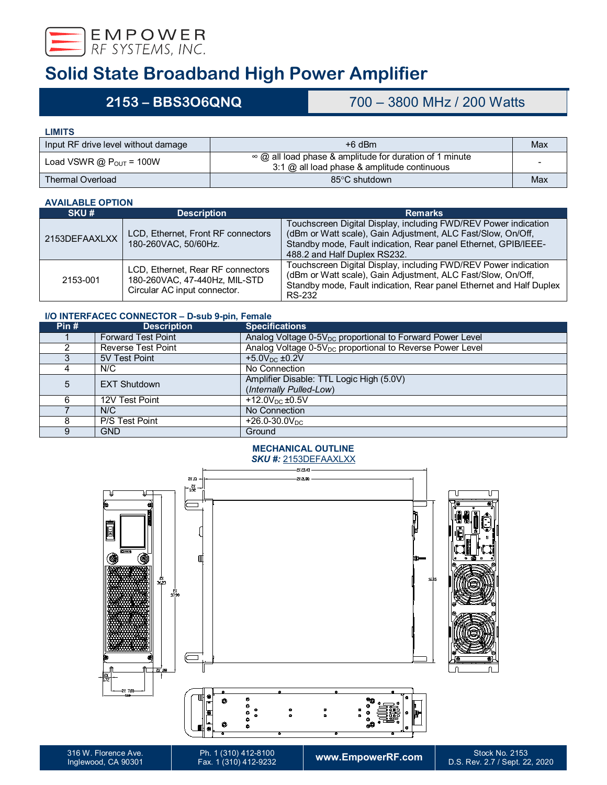

# **Solid State Broadband High Power Amplifier**

## **2153 – BBS3O6QNQ** 700 – 3800 MHz / 200 Watts

**LIMITS**

| Input RF drive level without damage   | $+6$ dBm                                                                                                        | Max |
|---------------------------------------|-----------------------------------------------------------------------------------------------------------------|-----|
| Load VSWR $@$ P <sub>OUT</sub> = 100W | $\infty$ @ all load phase & amplitude for duration of 1 minute<br>$3:1$ @ all load phase & amplitude continuous |     |
| <b>Thermal Overload</b>               | 85°C shutdown                                                                                                   | Max |

### **AVAILABLE OPTION**

| AVAILADLL VI IIVIV |                                                                                                    |                                                                                                                                                                                                                                    |  |  |
|--------------------|----------------------------------------------------------------------------------------------------|------------------------------------------------------------------------------------------------------------------------------------------------------------------------------------------------------------------------------------|--|--|
| SKU#               | <b>Description</b>                                                                                 | <b>Remarks</b>                                                                                                                                                                                                                     |  |  |
| 2153DEFAAXLXX      | LCD, Ethernet, Front RF connectors<br>180-260VAC, 50/60Hz.                                         | Touchscreen Digital Display, including FWD/REV Power indication<br>(dBm or Watt scale), Gain Adjustment, ALC Fast/Slow, On/Off,<br>Standby mode, Fault indication, Rear panel Ethernet, GPIB/IEEE-<br>488.2 and Half Duplex RS232. |  |  |
| 2153-001           | LCD, Ethernet, Rear RF connectors<br>180-260VAC, 47-440Hz, MIL-STD<br>Circular AC input connector. | Touchscreen Digital Display, including FWD/REV Power indication<br>(dBm or Watt scale), Gain Adjustment, ALC Fast/Slow, On/Off,<br>Standby mode, Fault indication, Rear panel Ethernet and Half Duplex<br>RS-232                   |  |  |

## **I/O INTERFACEC CONNECTOR – D-sub 9-pin, Female**

| Pin# | <b>Description</b>        | <b>Specifications</b>                                                 |
|------|---------------------------|-----------------------------------------------------------------------|
|      | <b>Forward Test Point</b> | Analog Voltage 0-5V <sub>DC</sub> proportional to Forward Power Level |
|      | <b>Reverse Test Point</b> | Analog Voltage 0-5V <sub>DC</sub> proportional to Reverse Power Level |
|      | 5V Test Point             | $+5.0V_{DC}$ ±0.2V                                                    |
|      | N/C                       | No Connection                                                         |
| 5    | <b>EXT Shutdown</b>       | Amplifier Disable: TTL Logic High (5.0V)<br>(Internally Pulled-Low)   |
|      | 12V Test Point            | +12.0 $V_{DC}$ ±0.5V                                                  |
|      | N/C                       | No Connection                                                         |
|      | P/S Test Point            | $+26.0 - 30.0 V_{DC}$                                                 |
|      | <b>GND</b>                | Ground                                                                |

### **MECHANICAL OUTLINE** *SKU #:* 2153DEFAAXLXX